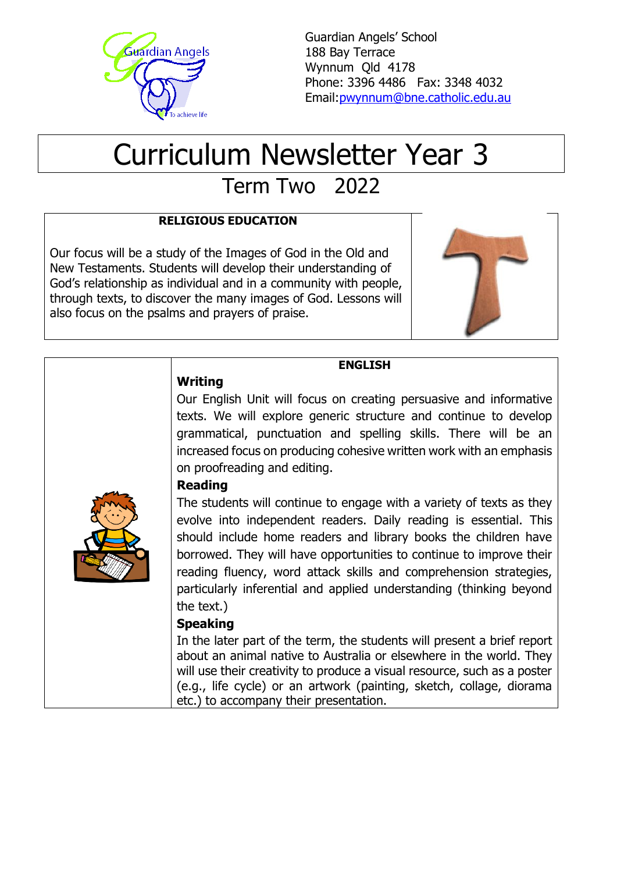

Guardian Angels' School 188 Bay Terrace Wynnum Qld 4178 Phone: 3396 4486 Fax: 3348 4032 Email[:pwynnum@bne.catholic.edu.au](mailto:pwynnum@bne.catholic.edu.au)

# Curriculum Newsletter Year 3

Term Two 2022

# **RELIGIOUS EDUCATION**

Our focus will be a study of the Images of God in the Old and New Testaments. Students will develop their understanding of God's relationship as individual and in a community with people, through texts, to discover the many images of God. Lessons will also focus on the psalms and prayers of praise.



# **Writing**

# **ENGLISH**

Our English Unit will focus on creating persuasive and informative texts. We will explore generic structure and continue to develop grammatical, punctuation and spelling skills. There will be an increased focus on producing cohesive written work with an emphasis on proofreading and editing.

#### **Reading**

The students will continue to engage with a variety of texts as they evolve into independent readers. Daily reading is essential. This should include home readers and library books the children have borrowed. They will have opportunities to continue to improve their reading fluency, word attack skills and comprehension strategies, particularly inferential and applied understanding (thinking beyond the text.)

#### **Speaking**

In the later part of the term, the students will present a brief report about an animal native to Australia or elsewhere in the world. They will use their creativity to produce a visual resource, such as a poster (e.g., life cycle) or an artwork (painting, sketch, collage, diorama etc.) to accompany their presentation.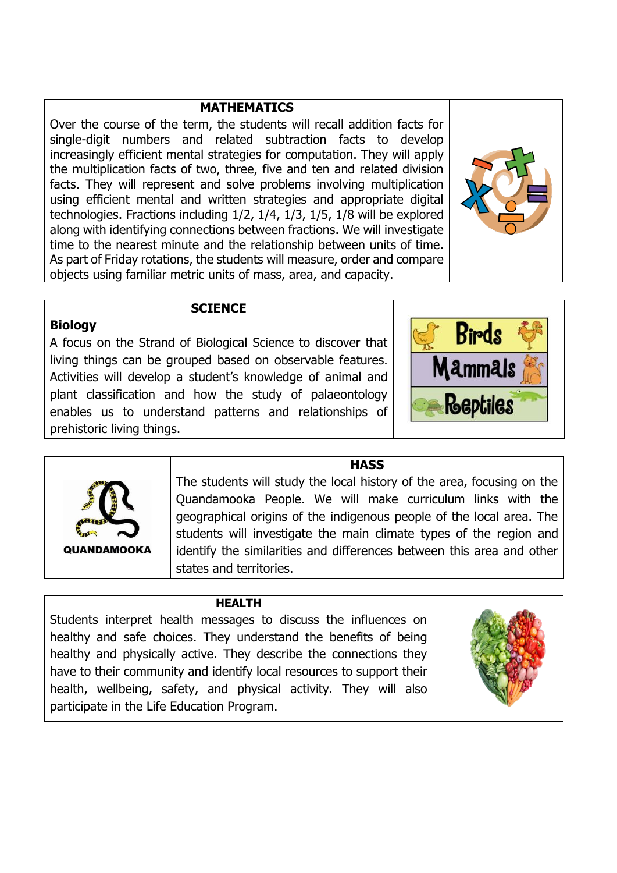#### **MATHEMATICS**

Over the course of the term, the students will recall addition facts for single-digit numbers and related subtraction facts to develop increasingly efficient mental strategies for computation. They will apply the [multiplication](http://www.australiancurriculum.edu.au/glossary/popup?a=M&t=Multiplication%2B) facts of two, three, five and ten and related division facts. They will represent and solve problems involving [multiplication](http://www.australiancurriculum.edu.au/glossary/popup?a=M&t=Multiplication%2B) using efficient mental and written strategies and appropriate digital technologies. Fractions including 1/2, 1/4, 1/3, 1/5, 1/8 will be explored along with identifying connections between fractions. We will investigate time to the nearest minute and the relationship between units of time. As part of Friday rotations, the students will measure, order and compare objects using familiar metric units of mass, area, and capacity.



#### **Biology**

#### **SCIENCE**

A focus on the Strand of Biological Science to discover that living things can be grouped based on observable features. Activities will develop a student's knowledge of animal and plant classification and how the study of palaeontology enables us to understand patterns and relationships of prehistoric living things.





#### **HASS**

The students will study the local history of the area, focusing on the Quandamooka People. We will make curriculum links with the geographical origins of the indigenous people of the local area. The students will investigate the main climate types of the region and identify the similarities and differences between this area and other states and territories.

#### **HEALTH**

Students interpret health messages to discuss the influences on healthy and safe choices. They understand the benefits of being healthy and physically active. They describe the connections they have to their community and identify local resources to support their health, wellbeing, safety, and physical activity. They will also participate in the Life Education Program.

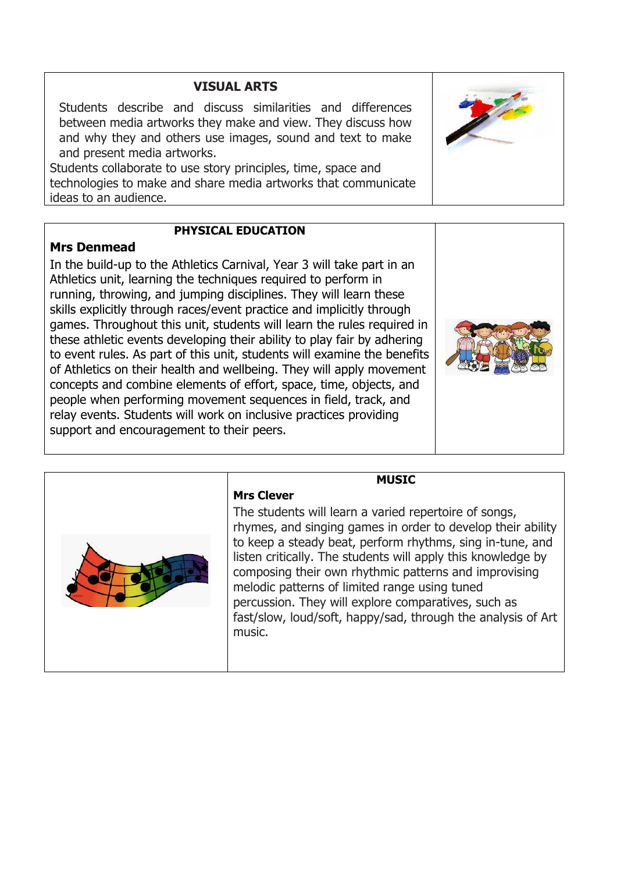# **VISUAL ARTS**

Students describe and discuss similarities and differences between media artworks they make and view. They discuss how and why they and others use images, sound and text to make and present media artworks.

Students collaborate to use story principles, time, space and technologies to make and share media artworks that communicate ideas to an audience.

#### **PHYSICAL EDUCATION**

#### **Mrs Denmead**

In the build-up to the Athletics Carnival, Year 3 will take part in an Athletics unit, learning the techniques required to perform in running, throwing, and jumping disciplines. They will learn these skills explicitly through races/event practice and implicitly through games. Throughout this unit, students will learn the rules required in these athletic events developing their ability to play fair by adhering to event rules. As part of this unit, students will examine the benefits of Athletics on their health and wellbeing. They will apply movement concepts and combine elements of effort, space, time, objects, and people when performing movement sequences in field, track, and relay events. Students will work on inclusive practices providing support and encouragement to their peers.

**Mrs Clever**

#### **MUSIC**

The students will learn a varied repertoire of songs, rhymes, and singing games in order to develop their ability to keep a steady beat, perform rhythms, sing in-tune, and listen critically. The students will apply this knowledge by composing their own rhythmic patterns and improvising melodic patterns of limited range using tuned percussion. They will explore comparatives, such as fast/slow, loud/soft, happy/sad, through the analysis of Art music.